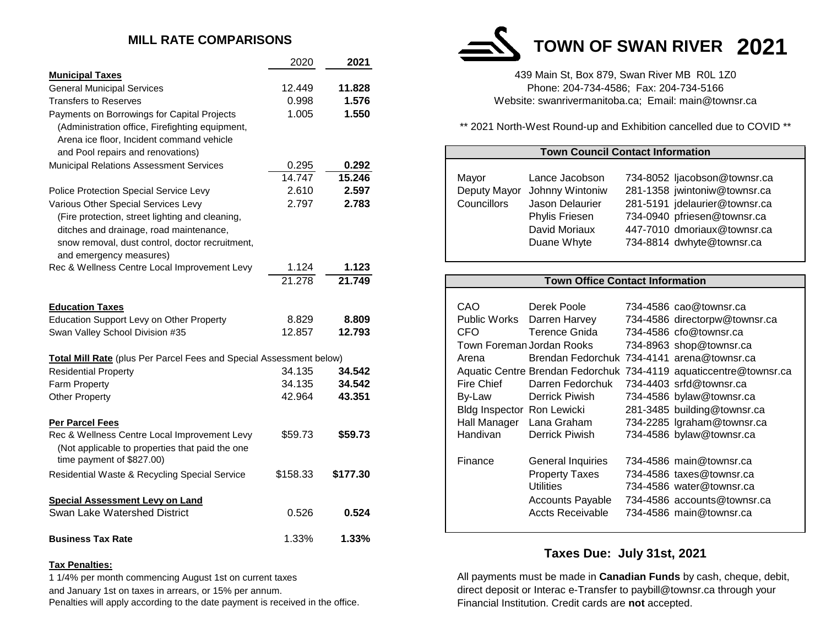# **MILL RATE COMPARISONS**

|                                                                                                                              | 2020     | 2021     |                                                                                                   |
|------------------------------------------------------------------------------------------------------------------------------|----------|----------|---------------------------------------------------------------------------------------------------|
| <b>Municipal Taxes</b>                                                                                                       |          |          | 439 Main St, Box 879, Swan River MB ROL 1Z0                                                       |
| <b>General Municipal Services</b>                                                                                            | 12.449   | 11.828   | Phone: 204-734-4586; Fax: 204-734-5166                                                            |
| <b>Transfers to Reserves</b>                                                                                                 | 0.998    | 1.576    | Website: swanrivermanitoba.ca; Email: main@townsr.ca                                              |
| Payments on Borrowings for Capital Projects                                                                                  | 1.005    | 1.550    |                                                                                                   |
| (Administration office, Firefighting equipment,<br>Arena ice floor, Incident command vehicle                                 |          |          | ** 2021 North-West Round-up and Exhibition cancelled due to CO\                                   |
| and Pool repairs and renovations)                                                                                            |          |          | <b>Town Council Contact Information</b>                                                           |
| <b>Municipal Relations Assessment Services</b>                                                                               | 0.295    | 0.292    |                                                                                                   |
|                                                                                                                              | 14.747   | 15.246   | Mayor<br>Lance Jacobson<br>734-8052 ljacobson@townsr.c                                            |
| Police Protection Special Service Levy                                                                                       | 2.610    | 2.597    | Johnny Wintoniw<br>281-1358 jwintoniw@townsr.c<br>Deputy Mayor                                    |
| Various Other Special Services Levy                                                                                          | 2.797    | 2.783    | Councillors<br>281-5191 jdelaurier@townsr.c<br>Jason Delaurier                                    |
| (Fire protection, street lighting and cleaning,                                                                              |          |          | 734-0940 pfriesen@townsr.ca<br>Phylis Friesen                                                     |
| ditches and drainage, road maintenance,<br>snow removal, dust control, doctor recruitment,<br>and emergency measures)        |          |          | 447-7010 dmoriaux@townsr.c<br>David Moriaux<br>734-8814 dwhyte@townsr.ca<br>Duane Whyte           |
| Rec & Wellness Centre Local Improvement Levy                                                                                 | 1.124    | 1.123    |                                                                                                   |
|                                                                                                                              | 21.278   | 21.749   | <b>Town Office Contact Information</b>                                                            |
|                                                                                                                              |          |          |                                                                                                   |
| <b>Education Taxes</b>                                                                                                       |          |          | CAO<br>734-4586 cao@townsr.ca<br>Derek Poole                                                      |
| Education Support Levy on Other Property                                                                                     | 8.829    | 8.809    | <b>Public Works</b><br>Darren Harvey<br>734-4586 directorpw@townsr.                               |
| Swan Valley School Division #35                                                                                              | 12.857   | 12.793   | <b>CFO</b><br><b>Terence Gnida</b><br>734-4586 cfo@townsr.ca                                      |
|                                                                                                                              |          |          | Town Foreman Jordan Rooks<br>734-8963 shop@townsr.ca                                              |
| <b>Total Mill Rate</b> (plus Per Parcel Fees and Special Assessment below)                                                   |          |          | Brendan Fedorchuk 734-4141 arena@townsr.ca<br>Arena                                               |
| <b>Residential Property</b>                                                                                                  | 34.135   | 34.542   | Aquatic Centre Brendan Fedorchuk 734-4119 aquaticcentre@towr                                      |
| Farm Property                                                                                                                | 34.135   | 34.542   | 734-4403 srfd@townsr.ca<br>Fire Chief<br>Darren Fedorchuk                                         |
| <b>Other Property</b>                                                                                                        | 42.964   | 43.351   | By-Law<br><b>Derrick Piwish</b><br>734-4586 bylaw@townsr.ca                                       |
|                                                                                                                              |          |          | Bldg Inspector Ron Lewicki<br>281-3485 building@townsr.ca                                         |
| <b>Per Parcel Fees</b>                                                                                                       |          |          | Hall Manager<br>734-2285 Igraham@townsr.ca<br>Lana Graham                                         |
| Rec & Wellness Centre Local Improvement Levy<br>(Not applicable to properties that paid the one<br>time payment of \$827.00) | \$59.73  | \$59.73  | Handivan<br>Derrick Piwish<br>734-4586 bylaw@townsr.ca                                            |
|                                                                                                                              |          |          | 734-4586 main@townsr.ca<br>Finance<br><b>General Inquiries</b>                                    |
| Residential Waste & Recycling Special Service                                                                                | \$158.33 | \$177.30 | <b>Property Taxes</b><br>734-4586 taxes@townsr.ca<br><b>Utilities</b><br>734-4586 water@townsr.ca |
| <b>Special Assessment Levy on Land</b>                                                                                       |          |          | 734-4586 accounts@townsr.ca<br><b>Accounts Payable</b>                                            |
| Swan Lake Watershed District                                                                                                 | 0.526    | 0.524    | 734-4586 main@townsr.ca<br><b>Accts Receivable</b>                                                |
| <b>Business Tax Rate</b>                                                                                                     | 1.33%    | 1.33%    |                                                                                                   |

### **Tax Penalties:**

1 1/4% per month commencing August 1st on current taxes and January 1st on taxes in arrears, or 15% per annum. Penalties will apply according to the date payment is received in the office. **TOWN OF SWAN RIVER 2021**

\*\* 2021 North-West Round-up and Exhibition cancelled due to COVID \*\*

| Arena ice libor, incluent command venicle                           |          |          |                            |                                            |                         |                                                                   |  |  |
|---------------------------------------------------------------------|----------|----------|----------------------------|--------------------------------------------|-------------------------|-------------------------------------------------------------------|--|--|
| and Pool repairs and renovations)                                   |          |          |                            | <b>Town Council Contact Information</b>    |                         |                                                                   |  |  |
| Municipal Relations Assessment Services                             | 0.295    | 0.292    |                            |                                            |                         |                                                                   |  |  |
|                                                                     | 14.747   | 15.246   | Mayor                      | Lance Jacobson                             |                         | 734-8052 ljacobson@townsr.ca                                      |  |  |
| Police Protection Special Service Levy                              | 2.610    | 2.597    | Deputy Mayor               | Johnny Wintoniw                            |                         | 281-1358 jwintoniw@townsr.ca                                      |  |  |
| Various Other Special Services Levy                                 | 2.797    | 2.783    | Councillors                | Jason Delaurier                            |                         | 281-5191 jdelaurier@townsr.ca                                     |  |  |
| (Fire protection, street lighting and cleaning,                     |          |          |                            | Phylis Friesen                             |                         | 734-0940 pfriesen@townsr.ca                                       |  |  |
| ditches and drainage, road maintenance,                             |          |          |                            | David Moriaux                              |                         | 447-7010 dmoriaux@townsr.ca                                       |  |  |
| snow removal, dust control, doctor recruitment,                     |          |          |                            | Duane Whyte                                |                         | 734-8814 dwhyte@townsr.ca                                         |  |  |
| and emergency measures)                                             |          |          |                            |                                            |                         |                                                                   |  |  |
| Rec & Wellness Centre Local Improvement Levy                        | 1.124    | 1.123    |                            |                                            |                         |                                                                   |  |  |
|                                                                     | 21.278   | 21.749   |                            | <b>Town Office Contact Information</b>     |                         |                                                                   |  |  |
|                                                                     |          |          |                            |                                            |                         |                                                                   |  |  |
| <b>Education Taxes</b>                                              |          |          | CAO                        | Derek Poole                                | 734-4586 cao@townsr.ca  |                                                                   |  |  |
| <b>Education Support Levy on Other Property</b>                     | 8.829    | 8.809    | Public Works               | Darren Harvey                              |                         | 734-4586 directorpw@townsr.ca                                     |  |  |
| Swan Valley School Division #35                                     | 12.857   | 12.793   | <b>CFO</b>                 | <b>Terence Gnida</b>                       | 734-4586 cfo@townsr.ca  |                                                                   |  |  |
|                                                                     |          |          |                            | Town Foreman Jordan Rooks                  |                         | 734-8963 shop@townsr.ca                                           |  |  |
| Total Mill Rate (plus Per Parcel Fees and Special Assessment below) |          |          | Arena                      | Brendan Fedorchuk 734-4141 arena@townsr.ca |                         |                                                                   |  |  |
| <b>Residential Property</b>                                         | 34.135   | 34.542   |                            |                                            |                         | Aquatic Centre Brendan Fedorchuk 734-4119 aquaticcentre@townsr.ca |  |  |
| <b>Farm Property</b>                                                | 34.135   | 34.542   | Fire Chief                 | Darren Fedorchuk                           | 734-4403 srfd@townsr.ca |                                                                   |  |  |
| Other Property                                                      | 42.964   | 43.351   | By-Law                     | <b>Derrick Piwish</b>                      |                         | 734-4586 bylaw@townsr.ca                                          |  |  |
|                                                                     |          |          | Bldg Inspector Ron Lewicki |                                            |                         | 281-3485 building@townsr.ca                                       |  |  |
| Per Parcel Fees                                                     |          |          | Hall Manager               | Lana Graham                                |                         | 734-2285 Igraham@townsr.ca                                        |  |  |
| Rec & Wellness Centre Local Improvement Levy                        | \$59.73  | \$59.73  | Handivan                   | <b>Derrick Piwish</b>                      |                         | 734-4586 bylaw@townsr.ca                                          |  |  |
| (Not applicable to properties that paid the one                     |          |          |                            |                                            |                         |                                                                   |  |  |
| time payment of \$827.00)                                           |          |          | Finance                    | General Inquiries                          |                         | 734-4586 main@townsr.ca                                           |  |  |
| Residential Waste & Recycling Special Service                       | \$158.33 | \$177.30 |                            | <b>Property Taxes</b>                      |                         | 734-4586 taxes@townsr.ca                                          |  |  |
|                                                                     |          |          |                            | <b>Utilities</b>                           |                         | 734-4586 water@townsr.ca                                          |  |  |
| Special Assessment Levy on Land                                     |          |          |                            | <b>Accounts Payable</b>                    |                         | 734-4586 accounts@townsr.ca                                       |  |  |
| Swan Lake Watershed District                                        | 0.526    | 0.524    |                            | <b>Accts Receivable</b>                    |                         | 734-4586 main@townsr.ca                                           |  |  |
|                                                                     |          |          |                            |                                            |                         |                                                                   |  |  |

# **Taxes Due: July 31st, 2021**

All payments must be made in **Canadian Funds** by cash, cheque, debit, direct deposit or Interac e-Transfer to paybill@townsr.ca through your Financial Institution. Credit cards are **not** accepted.